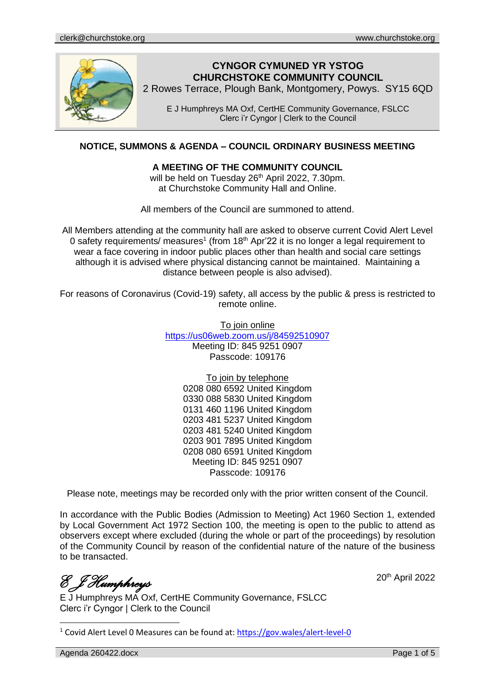

## **CYNGOR CYMUNED YR YSTOG CHURCHSTOKE COMMUNITY COUNCIL**

2 Rowes Terrace, Plough Bank, Montgomery, Powys. SY15 6QD

E J Humphreys MA Oxf, CertHE Community Governance, FSLCC Clerc i'r Cyngor | Clerk to the Council

## **NOTICE, SUMMONS & AGENDA – COUNCIL ORDINARY BUSINESS MEETING**

#### **A MEETING OF THE COMMUNITY COUNCIL**

will be held on Tuesday 26<sup>th</sup> April 2022, 7.30pm. at Churchstoke Community Hall and Online.

All members of the Council are summoned to attend.

All Members attending at the community hall are asked to observe current Covid Alert Level 0 safety requirements/ measures<sup>1</sup> (from 18<sup>th</sup> Apr'22 it is no longer a legal requirement to wear a face covering in indoor public places other than health and social care settings although it is advised where physical distancing cannot be maintained. Maintaining a distance between people is also advised).

For reasons of Coronavirus (Covid-19) safety, all access by the public & press is restricted to remote online.

> To join online <https://us06web.zoom.us/j/84592510907> Meeting ID: 845 9251 0907 Passcode: 109176

> > To join by telephone

0208 080 6592 United Kingdom 0330 088 5830 United Kingdom 0131 460 1196 United Kingdom 0203 481 5237 United Kingdom 0203 481 5240 United Kingdom 0203 901 7895 United Kingdom 0208 080 6591 United Kingdom Meeting ID: 845 9251 0907 Passcode: 109176

Please note, meetings may be recorded only with the prior written consent of the Council.

In accordance with the Public Bodies (Admission to Meeting) Act 1960 Section 1, extended by Local Government Act 1972 Section 100, the meeting is open to the public to attend as observers except where excluded (during the whole or part of the proceedings) by resolution of the Community Council by reason of the confidential nature of the nature of the business to be transacted.

*E J Humphreys* 

E J Humphreys MA Oxf, CertHE Community Governance, FSLCC Clerc i'r Cyngor | Clerk to the Council

<sup>1</sup> Covid Alert Level 0 Measures can be found at:<https://gov.wales/alert-level-0>

Agenda 260422.docx **Page 1 of 5** 

20th April 2022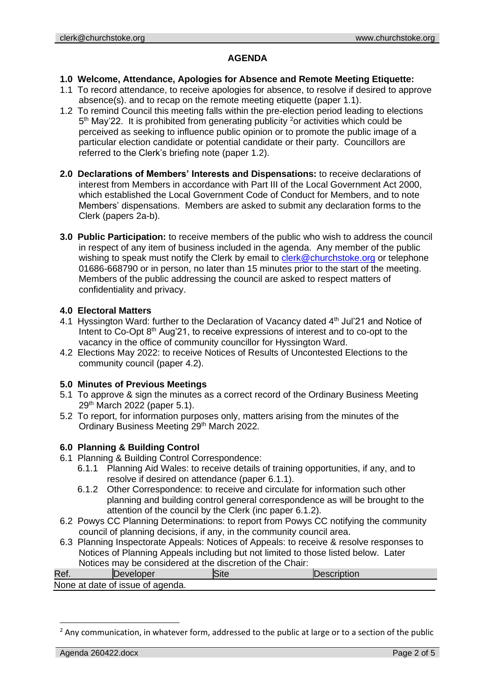## **AGENDA**

## **1.0 Welcome, Attendance, Apologies for Absence and Remote Meeting Etiquette:**

- 1.1 To record attendance, to receive apologies for absence, to resolve if desired to approve absence(s). and to recap on the remote meeting etiquette (paper 1.1).
- 1.2 To remind Council this meeting falls within the pre-election period leading to elections 5<sup>th</sup> May'22. It is prohibited from generating publicity <sup>2</sup>or activities which could be perceived as seeking to influence public opinion or to promote the public image of a particular election candidate or potential candidate or their party. Councillors are referred to the Clerk's briefing note (paper 1.2).
- **2.0 Declarations of Members' Interests and Dispensations:** to receive declarations of interest from Members in accordance with Part III of the Local Government Act 2000, which established the Local Government Code of Conduct for Members, and to note Members' dispensations. Members are asked to submit any declaration forms to the Clerk (papers 2a-b).
- **3.0 Public Participation:** to receive members of the public who wish to address the council in respect of any item of business included in the agenda. Any member of the public wishing to speak must notify the Clerk by email to [clerk@churchstoke.org](mailto:clerk@churchstoke.org) or telephone 01686-668790 or in person, no later than 15 minutes prior to the start of the meeting. Members of the public addressing the council are asked to respect matters of confidentiality and privacy.

## **4.0 Electoral Matters**

- 4.1 Hyssington Ward: further to the Declaration of Vacancy dated 4<sup>th</sup> Jul'21 and Notice of Intent to Co-Opt 8<sup>th</sup> Aug'21, to receive expressions of interest and to co-opt to the vacancy in the office of community councillor for Hyssington Ward.
- 4.2 Elections May 2022: to receive Notices of Results of Uncontested Elections to the community council (paper 4.2).

## **5.0 Minutes of Previous Meetings**

- 5.1 To approve & sign the minutes as a correct record of the Ordinary Business Meeting 29th March 2022 (paper 5.1).
- 5.2 To report, for information purposes only, matters arising from the minutes of the Ordinary Business Meeting 29<sup>th</sup> March 2022.

## **6.0 Planning & Building Control**

- 6.1 Planning & Building Control Correspondence:
	- 6.1.1 Planning Aid Wales: to receive details of training opportunities, if any, and to resolve if desired on attendance (paper 6.1.1).
	- 6.1.2 Other Correspondence: to receive and circulate for information such other planning and building control general correspondence as will be brought to the attention of the council by the Clerk (inc paper 6.1.2).
- 6.2 Powys CC Planning Determinations: to report from Powys CC notifying the community council of planning decisions, if any, in the community council area.
- 6.3 Planning Inspectorate Appeals: Notices of Appeals: to receive & resolve responses to Notices of Planning Appeals including but not limited to those listed below. Later Notices may be considered at the discretion of the Chair:

| Ref. | Developer                        | Jescription |
|------|----------------------------------|-------------|
|      | None at date of issue of agenda. |             |

 $<sup>2</sup>$  Any communication, in whatever form, addressed to the public at large or to a section of the public</sup>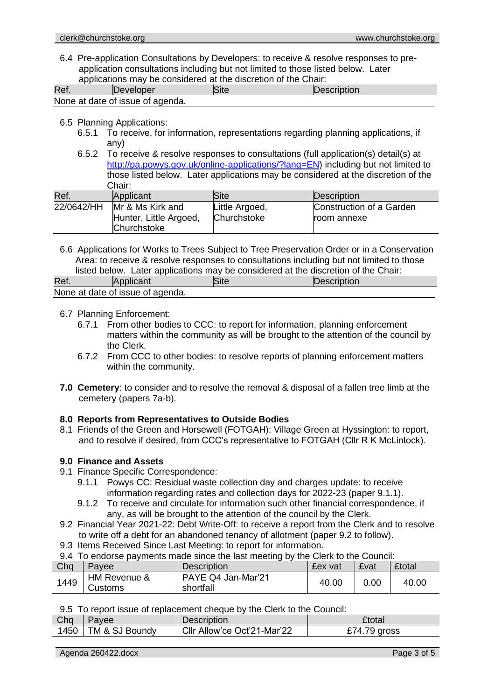6.4 Pre-application Consultations by Developers: to receive & resolve responses to preapplication consultations including but not limited to those listed below. Later applications may be considered at the discretion of the Chair:

| Ref | approaction that bu conclude at the diction of the United<br>Developer | Site | Description |  |
|-----|------------------------------------------------------------------------|------|-------------|--|
|     | None at date of issue of agenda.                                       |      |             |  |

- 6.5 Planning Applications:
	- 6.5.1 To receive, for information, representations regarding planning applications, if any)
	- 6.5.2 To receive & resolve responses to consultations (full application(s) detail(s) at http://pa.powys.gov.uk/online-applications/?lang=EN) including but not limited to those listed below. Later applications may be considered at the discretion of the Chair:

| Ref.       | Applicant                                                 | lSite                         | Description                                    |
|------------|-----------------------------------------------------------|-------------------------------|------------------------------------------------|
| 22/0642/HH | Mr & Ms Kirk and<br>Hunter, Little Argoed,<br>Churchstoke | Little Argoed,<br>Churchstoke | Construction of a Garden<br><b>room</b> annexe |

6.6 Applications for Works to Trees Subject to Tree Preservation Order or in a Conservation Area: to receive & resolve responses to consultations including but not limited to those listed below. Later applications may be considered at the discretion of the Chair:

| motod bolow. Eator applications may be considered at the discretion of the Ontal. |                                  |             |             |  |  |
|-----------------------------------------------------------------------------------|----------------------------------|-------------|-------------|--|--|
| Ref.                                                                              | <b>Applicant</b>                 | <b>Site</b> | Description |  |  |
|                                                                                   | None at date of issue of agenda. |             |             |  |  |

#### 6.7 Planning Enforcement:

- 6.7.1 From other bodies to CCC: to report for information, planning enforcement matters within the community as will be brought to the attention of the council by the Clerk.
- 6.7.2 From CCC to other bodies: to resolve reports of planning enforcement matters within the community.
- **7.0 Cemetery**: to consider and to resolve the removal & disposal of a fallen tree limb at the cemetery (papers 7a-b).

#### **8.0 Reports from Representatives to Outside Bodies**

8.1 Friends of the Green and Horsewell (FOTGAH): Village Green at Hyssington: to report, and to resolve if desired, from CCC's representative to FOTGAH (Cllr R K McLintock).

#### **9.0 Finance and Assets**

- 9.1 Finance Specific Correspondence:
	- 9.1.1 Powys CC: Residual waste collection day and charges update: to receive information regarding rates and collection days for 2022-23 (paper 9.1.1).
	- 9.1.2 To receive and circulate for information such other financial correspondence, if any, as will be brought to the attention of the council by the Clerk.
- 9.2 Financial Year 2021-22: Debt Write-Off: to receive a report from the Clerk and to resolve to write off a debt for an abandoned tenancy of allotment (paper 9.2 to follow).
- 9.3 Items Received Since Last Meeting: to report for information.
- 9.4 To endorse payments made since the last meeting by the Clerk to the Council:

| Cha  | Pavee                   | <b>Description</b>              | £ex vat | £vat | <b>£total</b> |
|------|-------------------------|---------------------------------|---------|------|---------------|
| 1449 | HM Revenue &<br>Customs | PAYE Q4 Jan-Mar'21<br>shortfall | 40.00   | 0.00 | 40.00         |

9.5 To report issue of replacement cheque by the Clerk to the Council:

| Chq  | avee           | <b>Description</b>          | £total       |
|------|----------------|-----------------------------|--------------|
| 1450 | TM & SJ Boundy | Cllr Allow'ce Oct'21-Mar'22 | £74.79 aross |

Agenda 260422.docx **Page 3 of 5** and 260422.docx Page 3 of 5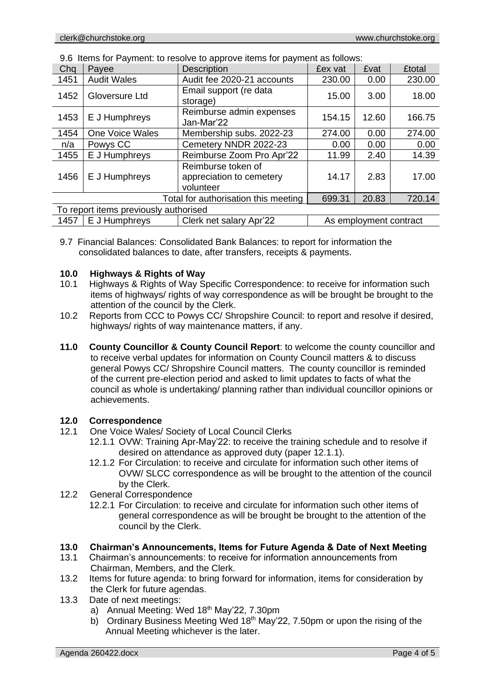| Chq                                                                        | Payee              | <b>Description</b>                                          | £ex vat | £vat  | <b>£total</b> |
|----------------------------------------------------------------------------|--------------------|-------------------------------------------------------------|---------|-------|---------------|
| 1451                                                                       | <b>Audit Wales</b> | Audit fee 2020-21 accounts                                  | 230.00  | 0.00  | 230.00        |
| 1452                                                                       | Gloversure Ltd     | Email support (re data<br>storage)                          | 15.00   | 3.00  | 18.00         |
| 1453                                                                       | E J Humphreys      | Reimburse admin expenses<br>Jan-Mar'22                      | 154.15  | 12.60 | 166.75        |
| 1454                                                                       | One Voice Wales    | Membership subs. 2022-23                                    | 274.00  | 0.00  | 274.00        |
| n/a                                                                        | Powys CC           | Cemetery NNDR 2022-23                                       | 0.00    | 0.00  | 0.00          |
| 1455                                                                       | E J Humphreys      | Reimburse Zoom Pro Apr'22                                   | 11.99   | 2.40  | 14.39         |
| 1456                                                                       | E J Humphreys      | Reimburse token of<br>appreciation to cemetery<br>volunteer | 14.17   | 2.83  | 17.00         |
| Total for authorisation this meeting<br>699.31<br>20.83                    |                    |                                                             |         |       | 720.14        |
| To report items previously authorised                                      |                    |                                                             |         |       |               |
| E J Humphreys<br>1457<br>Clerk net salary Apr'22<br>As employment contract |                    |                                                             |         |       |               |

9.6 Items for Payment: to resolve to approve items for payment as follows:

9.7 Financial Balances: Consolidated Bank Balances: to report for information the consolidated balances to date, after transfers, receipts & payments.

## **10.0 Highways & Rights of Way**

- 10.1 Highways & Rights of Way Specific Correspondence: to receive for information such items of highways/ rights of way correspondence as will be brought be brought to the attention of the council by the Clerk.
- 10.2 Reports from CCC to Powys CC/ Shropshire Council: to report and resolve if desired, highways/ rights of way maintenance matters, if any.
- **11.0 County Councillor & County Council Report**: to welcome the county councillor and to receive verbal updates for information on County Council matters & to discuss general Powys CC/ Shropshire Council matters. The county councillor is reminded of the current pre-election period and asked to limit updates to facts of what the council as whole is undertaking/ planning rather than individual councillor opinions or achievements.

## **12.0 Correspondence**

- 12.1 One Voice Wales/ Society of Local Council Clerks
	- 12.1.1 OVW: Training Apr-May'22: to receive the training schedule and to resolve if desired on attendance as approved duty (paper 12.1.1).
	- 12.1.2 For Circulation: to receive and circulate for information such other items of OVW/ SLCC correspondence as will be brought to the attention of the council by the Clerk.
- 12.2 General Correspondence
	- 12.2.1 For Circulation: to receive and circulate for information such other items of general correspondence as will be brought be brought to the attention of the council by the Clerk.

## **13.0 Chairman's Announcements, Items for Future Agenda & Date of Next Meeting**

- 13.1 Chairman's announcements: to receive for information announcements from Chairman, Members, and the Clerk.
- 13.2 Items for future agenda: to bring forward for information, items for consideration by the Clerk for future agendas.
- 13.3 Date of next meetings:
	- a) Annual Meeting: Wed 18<sup>th</sup> May'22, 7.30pm
	- b) Ordinary Business Meeting Wed 18th May'22, 7.50pm or upon the rising of the Annual Meeting whichever is the later.